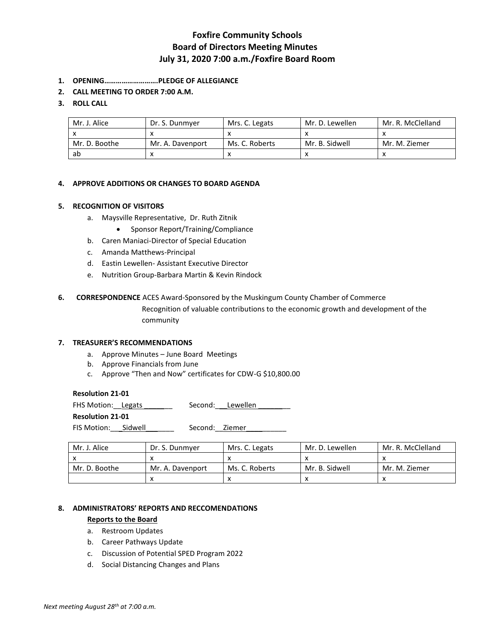# **Foxfire Community Schools Board of Directors Meeting Minutes July 31, 2020 7:00 a.m./Foxfire Board Room**

- **1. OPENING……………………….PLEDGE OF ALLEGIANCE**
- **2. CALL MEETING TO ORDER 7:00 A.M.**

### **3. ROLL CALL**

| Mr. J. Alice  | Dr. S. Dunmver   | Mrs. C. Legats | Mr. D. Lewellen | Mr. R. McClelland |
|---------------|------------------|----------------|-----------------|-------------------|
|               |                  |                |                 |                   |
| Mr. D. Boothe | Mr. A. Davenport | Ms. C. Roberts | Mr. B. Sidwell  | Mr. M. Ziemer     |
| ab            |                  |                |                 |                   |

#### **4. APPROVE ADDITIONS OR CHANGES TO BOARD AGENDA**

#### **5. RECOGNITION OF VISITORS**

- a. Maysville Representative, Dr. Ruth Zitnik
	- Sponsor Report/Training/Compliance
- b. Caren Maniaci-Director of Special Education
- c. Amanda Matthews-Principal
- d. Eastin Lewellen- Assistant Executive Director
- e. Nutrition Group-Barbara Martin & Kevin Rindock

#### **6. CORRESPONDENCE** ACES Award-Sponsored by the Muskingum County Chamber of Commerce

Recognition of valuable contributions to the economic growth and development of the community

#### **7. TREASURER'S RECOMMENDATIONS**

- a. Approve Minutes June Board Meetings
- b. Approve Financials from June
- c. Approve "Then and Now" certificates for CDW-G \$10,800.00

### **Resolution 21-01**

| <b>FHS Motion: Legats</b> |                | Second: Lewellen |
|---------------------------|----------------|------------------|
| <b>Resolution 21-01</b>   |                |                  |
| FIS Motion: Sidwell       | Second: Ziemer |                  |

| Mr. J. Alice  | Dr. S. Dunmver   | Mrs. C. Legats | Mr. D. Lewellen | Mr. R. McClelland |
|---------------|------------------|----------------|-----------------|-------------------|
|               |                  |                |                 |                   |
| Mr. D. Boothe | Mr. A. Davenport | Ms. C. Roberts | Mr. B. Sidwell  | Mr. M. Ziemer     |
|               |                  |                | ́               |                   |

#### **8. ADMINISTRATORS' REPORTS AND RECCOMENDATIONS**

#### **Reports to the Board**

- a. Restroom Updates
- b. Career Pathways Update
- c. Discussion of Potential SPED Program 2022
- d. Social Distancing Changes and Plans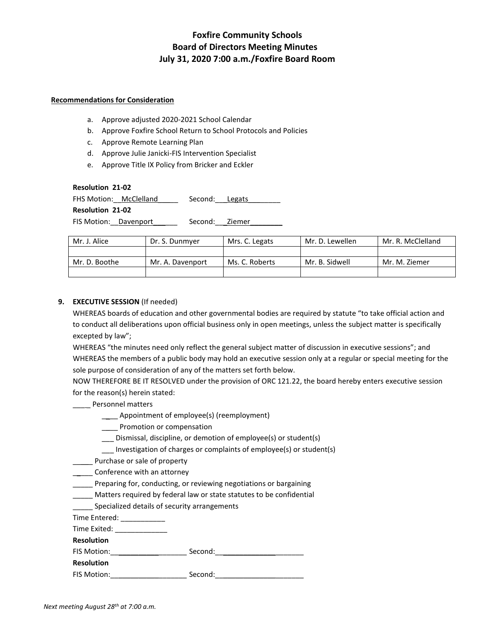# **Foxfire Community Schools Board of Directors Meeting Minutes July 31, 2020 7:00 a.m./Foxfire Board Room**

#### **Recommendations for Consideration**

- a. Approve adjusted 2020-2021 School Calendar
- b. Approve Foxfire School Return to School Protocols and Policies
- c. Approve Remote Learning Plan
- d. Approve Julie Janicki-FIS Intervention Specialist
- e. Approve Title IX Policy from Bricker and Eckler

#### **Resolution 21-02**

FHS Motion: McClelland \_\_\_\_\_ Second: Legats

**Resolution 21-02**

FIS Motion: Davenport \_\_\_\_\_\_\_ Second: Ziemer

| Mr. J. Alice  | Dr. S. Dunmyer   | Mrs. C. Legats | Mr. D. Lewellen | Mr. R. McClelland |
|---------------|------------------|----------------|-----------------|-------------------|
|               |                  |                |                 |                   |
| Mr. D. Boothe | Mr. A. Davenport | Ms. C. Roberts | Mr. B. Sidwell  | Mr. M. Ziemer     |
|               |                  |                |                 |                   |

## **9. EXECUTIVE SESSION** (If needed)

WHEREAS boards of education and other governmental bodies are required by statute "to take official action and to conduct all deliberations upon official business only in open meetings, unless the subject matter is specifically excepted by law";

WHEREAS "the minutes need only reflect the general subject matter of discussion in executive sessions"; and WHEREAS the members of a public body may hold an executive session only at a regular or special meeting for the sole purpose of consideration of any of the matters set forth below.

NOW THEREFORE BE IT RESOLVED under the provision of ORC 121.22, the board hereby enters executive session for the reason(s) herein stated:

### \_\_\_ \_ Personnel matters

- \_\_\_\_ Appointment of employee(s) (reemployment)
- \_\_\_\_ Promotion or compensation
- \_\_\_ Dismissal, discipline, or demotion of employee(s) or student(s)
- \_\_\_ Investigation of charges or complaints of employee(s) or student(s)
- \_\_\_\_\_ Purchase or sale of property
- \_\_\_\_\_ Conference with an attorney
- \_\_\_\_\_ Preparing for, conducting, or reviewing negotiations or bargaining
- \_\_\_\_\_ Matters required by federal law or state statutes to be confidential
- Specialized details of security arrangements

Time Entered: \_\_\_\_\_\_\_

| Time Exited: |  |
|--------------|--|
|--------------|--|

| <b>Resolution</b> |  |
|-------------------|--|
|-------------------|--|

| FIS Motion: | Second: |
|-------------|---------|
|             |         |

**Resolution**

FIS Motion:\_\_\_\_\_\_\_\_\_\_\_\_\_\_\_\_\_\_\_ Second:\_\_\_\_\_\_\_\_\_\_\_\_\_\_\_\_\_\_\_\_\_\_